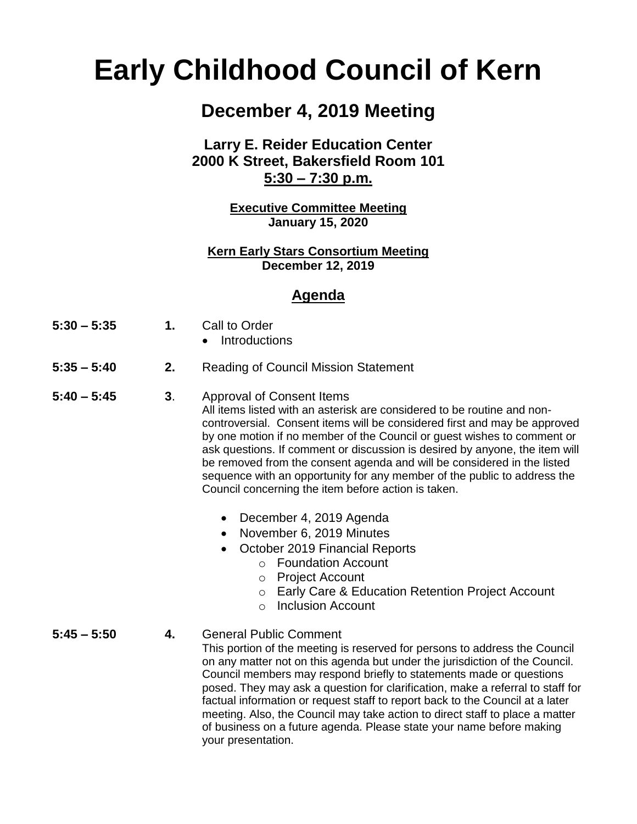# **Early Childhood Council of Kern**

## **December 4, 2019 Meeting**

#### **Larry E. Reider Education Center 2000 K Street, Bakersfield Room 101 5:30 – 7:30 p.m.**

**Executive Committee Meeting January 15, 2020**

**Kern Early Stars Consortium Meeting December 12, 2019**

#### **Agenda**

| $5:30 - 5:35$ | ., | Call to Order |
|---------------|----|---------------|
|               |    |               |

- Introductions
- **5:35 – 5:40 2.** Reading of Council Mission Statement
- **5:40 – 5:45 3**. Approval of Consent Items All items listed with an asterisk are considered to be routine and noncontroversial. Consent items will be considered first and may be approved by one motion if no member of the Council or guest wishes to comment or ask questions. If comment or discussion is desired by anyone, the item will be removed from the consent agenda and will be considered in the listed sequence with an opportunity for any member of the public to address the Council concerning the item before action is taken.
	- December 4, 2019 Agenda
	- November 6, 2019 Minutes
	- October 2019 Financial Reports
		- o Foundation Account
		- o Project Account
		- o Early Care & Education Retention Project Account
		- o Inclusion Account
- **5:45 – 5:50 4.** General Public Comment This portion of the meeting is reserved for persons to address the Council on any matter not on this agenda but under the jurisdiction of the Council. Council members may respond briefly to statements made or questions posed. They may ask a question for clarification, make a referral to staff for factual information or request staff to report back to the Council at a later meeting. Also, the Council may take action to direct staff to place a matter of business on a future agenda. Please state your name before making your presentation.